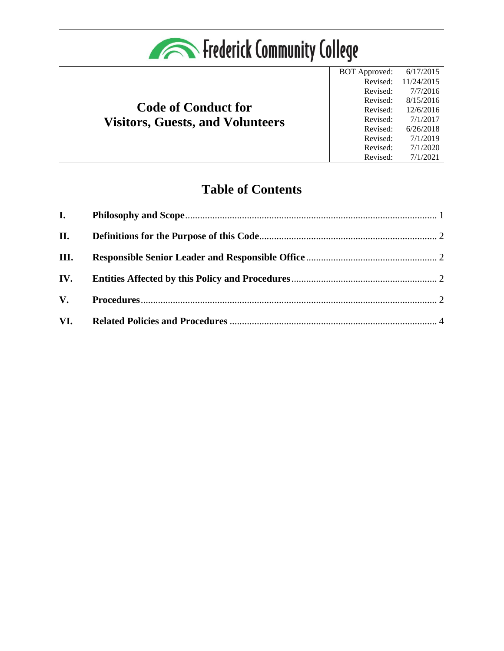

# **Code of Conduct for Visitors, Guests, and Volunteers**

BOT Approved: 6/17/2015 Revised: Revised: Revised: Revised: Revised: Revised: Revised: Revised: Revised: 11/24/2015 7/7/2016 8/15/2016 12/6/2016 7/1/2017 6/26/2018 7/1/2019 7/1/2020 7/1/2021

# **Table of Contents**

| II.  |  |
|------|--|
| III. |  |
|      |  |
|      |  |
|      |  |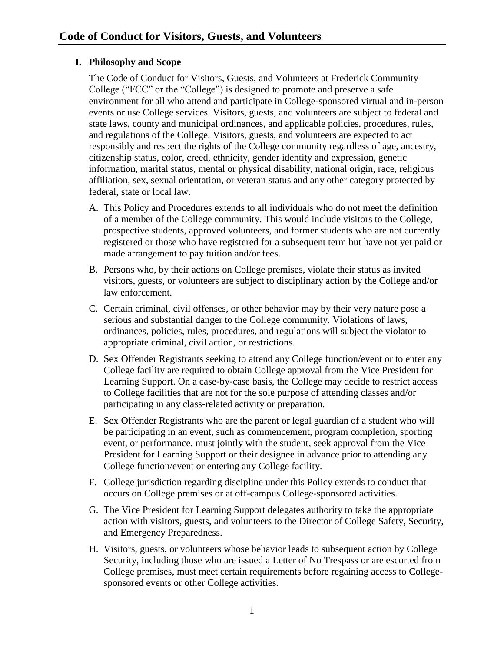## <span id="page-1-0"></span>**I. Philosophy and Scope**

The Code of Conduct for Visitors, Guests, and Volunteers at Frederick Community College ("FCC" or the "College") is designed to promote and preserve a safe environment for all who attend and participate in College-sponsored virtual and in-person events or use College services. Visitors, guests, and volunteers are subject to federal and state laws, county and municipal ordinances, and applicable policies, procedures, rules, and regulations of the College. Visitors, guests, and volunteers are expected to act responsibly and respect the rights of the College community regardless of age, ancestry, citizenship status, color, creed, ethnicity, gender identity and expression, genetic information, marital status, mental or physical disability, national origin, race, religious affiliation, sex, sexual orientation, or veteran status and any other category protected by federal, state or local law.

- A. This Policy and Procedures extends to all individuals who do not meet the definition of a member of the College community. This would include visitors to the College, prospective students, approved volunteers, and former students who are not currently registered or those who have registered for a subsequent term but have not yet paid or made arrangement to pay tuition and/or fees.
- B. Persons who, by their actions on College premises, violate their status as invited visitors, guests, or volunteers are subject to disciplinary action by the College and/or law enforcement.
- C. Certain criminal, civil offenses, or other behavior may by their very nature pose a serious and substantial danger to the College community. Violations of laws, ordinances, policies, rules, procedures, and regulations will subject the violator to appropriate criminal, civil action, or restrictions.
- D. Sex Offender Registrants seeking to attend any College function/event or to enter any College facility are required to obtain College approval from the Vice President for Learning Support. On a case-by-case basis, the College may decide to restrict access to College facilities that are not for the sole purpose of attending classes and/or participating in any class-related activity or preparation.
- E. Sex Offender Registrants who are the parent or legal guardian of a student who will be participating in an event, such as commencement, program completion, sporting event, or performance, must jointly with the student, seek approval from the Vice President for Learning Support or their designee in advance prior to attending any College function/event or entering any College facility.
- F. College jurisdiction regarding discipline under this Policy extends to conduct that occurs on College premises or at off-campus College-sponsored activities.
- G. The Vice President for Learning Support delegates authority to take the appropriate action with visitors, guests, and volunteers to the Director of College Safety, Security, and Emergency Preparedness.
- H. Visitors, guests, or volunteers whose behavior leads to subsequent action by College Security, including those who are issued a Letter of No Trespass or are escorted from College premises, must meet certain requirements before regaining access to Collegesponsored events or other College activities.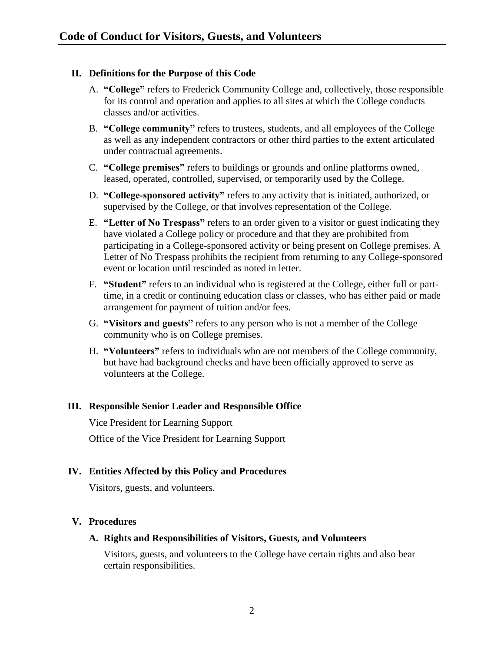### <span id="page-2-0"></span>**II. Definitions for the Purpose of this Code**

- A. **"College"** refers to Frederick Community College and, collectively, those responsible for its control and operation and applies to all sites at which the College conducts classes and/or activities.
- B. **"College community"** refers to trustees, students, and all employees of the College as well as any independent contractors or other third parties to the extent articulated under contractual agreements.
- C. **"College premises"** refers to buildings or grounds and online platforms owned, leased, operated, controlled, supervised, or temporarily used by the College.
- D. **"College-sponsored activity"** refers to any activity that is initiated, authorized, or supervised by the College, or that involves representation of the College.
- E. **"Letter of No Trespass"** refers to an order given to a visitor or guest indicating they have violated a College policy or procedure and that they are prohibited from participating in a College-sponsored activity or being present on College premises. A Letter of No Trespass prohibits the recipient from returning to any College-sponsored event or location until rescinded as noted in letter.
- F. **"Student"** refers to an individual who is registered at the College, either full or parttime, in a credit or continuing education class or classes, who has either paid or made arrangement for payment of tuition and/or fees.
- G. **"Visitors and guests"** refers to any person who is not a member of the College community who is on College premises.
- H. **"Volunteers"** refers to individuals who are not members of the College community, but have had background checks and have been officially approved to serve as volunteers at the College.

### <span id="page-2-1"></span>**III. Responsible Senior Leader and Responsible Office**

Vice President for Learning Support Office of the Vice President for Learning Support

### <span id="page-2-2"></span>**IV. Entities Affected by this Policy and Procedures**

Visitors, guests, and volunteers.

### <span id="page-2-3"></span>**V. Procedures**

### **A. Rights and Responsibilities of Visitors, Guests, and Volunteers**

Visitors, guests, and volunteers to the College have certain rights and also bear certain responsibilities.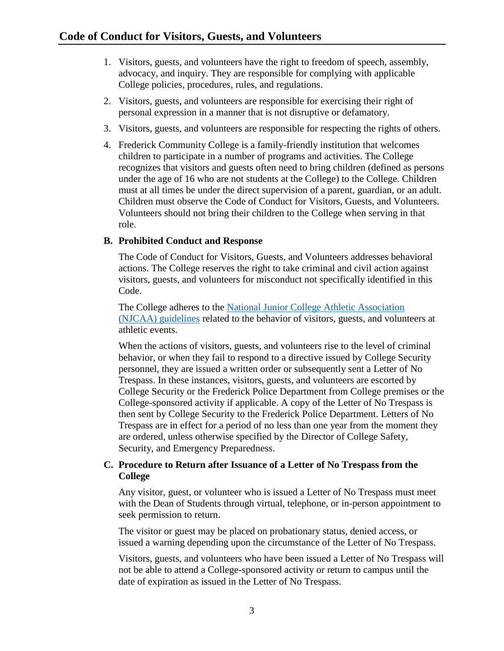- 1. Visitors, guests, and volunteers have the right to freedom of speech, assembly, advocacy, and inquiry. They are responsible for complying with applicable College policies, procedures, rules, and regulations.
- 2. Visitors, guests, and volunteers are responsible for exercising their right of personal expression in a manner that is not disruptive or defamatory.
- 3. Visitors, guests, and volunteers are responsible for respecting the rights of others.
- 4. Frederick Community College is a family-friendly institution that welcomes children to participate in a number of programs and activities. The College recognizes that visitors and guests often need to bring children (defined as persons under the age of 16 who are not students at the College) to the College. Children must at all times be under the direct supervision of a parent, guardian, or an adult. Children must observe the Code of Conduct for Visitors, Guests, and Volunteers. Volunteers should not bring their children to the College when serving in that role.

### **B. Prohibited Conduct and Response**

The Code of Conduct for Visitors, Guests, and Volunteers addresses behavioral actions. The College reserves the right to take criminal and civil action against visitors, guests, and volunteers for misconduct not specifically identified in this Code.

The College adheres to the [National Junior College Athletic Association](http://mvp.njcaa.org/FileManagerFiles/championshipbids/2017-18%20ChampBid%20Supporting%20Docs/NJCAA%20SPORTSMANSHIP%20POLICY%20%26%20CODE%20OF%20CONDUCT.pdf)  (NJCAA) [guidelines](http://mvp.njcaa.org/FileManagerFiles/championshipbids/2017-18%20ChampBid%20Supporting%20Docs/NJCAA%20SPORTSMANSHIP%20POLICY%20%26%20CODE%20OF%20CONDUCT.pdf) related to the behavior of visitors, guests, and volunteers at athletic events.

When the actions of visitors, guests, and volunteers rise to the level of criminal behavior, or when they fail to respond to a directive issued by College Security personnel, they are issued a written order or subsequently sent a Letter of No Trespass. In these instances, visitors, guests, and volunteers are escorted by College Security or the Frederick Police Department from College premises or the College-sponsored activity if applicable. A copy of the Letter of No Trespass is then sent by College Security to the Frederick Police Department. Letters of No Trespass are in effect for a period of no less than one year from the moment they are ordered, unless otherwise specified by the Director of College Safety, Security, and Emergency Preparedness.

#### **C. Procedure to Return after Issuance of a Letter of No Trespass from the College**

Any visitor, guest, or volunteer who is issued a Letter of No Trespass must meet with the Dean of Students through virtual, telephone, or in-person appointment to seek permission to return.

The visitor or guest may be placed on probationary status, denied access, or issued a warning depending upon the circumstance of the Letter of No Trespass.

Visitors, guests, and volunteers who have been issued a Letter of No Trespass will not be able to attend a College-sponsored activity or return to campus until the date of expiration as issued in the Letter of No Trespass.